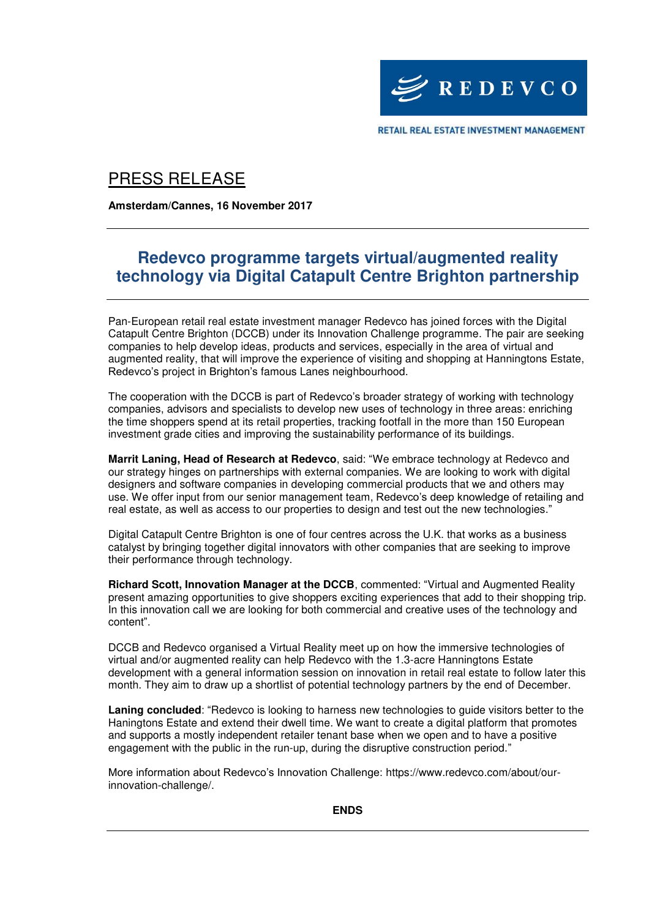

RETAIL REAL ESTATE INVESTMENT MANAGEMENT

# PRESS RELEASE

**Amsterdam/Cannes, 16 November 2017**

## **Redevco programme targets virtual/augmented reality technology via Digital Catapult Centre Brighton partnership**

Pan-European retail real estate investment manager Redevco has joined forces with the Digital Catapult Centre Brighton (DCCB) under its Innovation Challenge programme. The pair are seeking companies to help develop ideas, products and services, especially in the area of virtual and augmented reality, that will improve the experience of visiting and shopping at Hanningtons Estate, Redevco's project in Brighton's famous Lanes neighbourhood.

The cooperation with the DCCB is part of Redevco's broader strategy of working with technology companies, advisors and specialists to develop new uses of technology in three areas: enriching the time shoppers spend at its retail properties, tracking footfall in the more than 150 European investment grade cities and improving the sustainability performance of its buildings.

**Marrit Laning, Head of Research at Redevco**, said: "We embrace technology at Redevco and our strategy hinges on partnerships with external companies. We are looking to work with digital designers and software companies in developing commercial products that we and others may use. We offer input from our senior management team, Redevco's deep knowledge of retailing and real estate, as well as access to our properties to design and test out the new technologies."

Digital Catapult Centre Brighton is one of four centres across the U.K. that works as a business catalyst by bringing together digital innovators with other companies that are seeking to improve their performance through technology.

**Richard Scott, Innovation Manager at the DCCB**, commented: "Virtual and Augmented Reality present amazing opportunities to give shoppers exciting experiences that add to their shopping trip. In this innovation call we are looking for both commercial and creative uses of the technology and content".

DCCB and Redevco organised a Virtual Reality meet up on how the immersive technologies of virtual and/or augmented reality can help Redevco with the 1.3-acre Hanningtons Estate development with a general information session on innovation in retail real estate to follow later this month. They aim to draw up a shortlist of potential technology partners by the end of December.

**Laning concluded**: "Redevco is looking to harness new technologies to guide visitors better to the Haningtons Estate and extend their dwell time. We want to create a digital platform that promotes and supports a mostly independent retailer tenant base when we open and to have a positive engagement with the public in the run-up, during the disruptive construction period."

More information about Redevco's Innovation Challenge: https://www.redevco.com/about/ourinnovation-challenge/.

**ENDS**